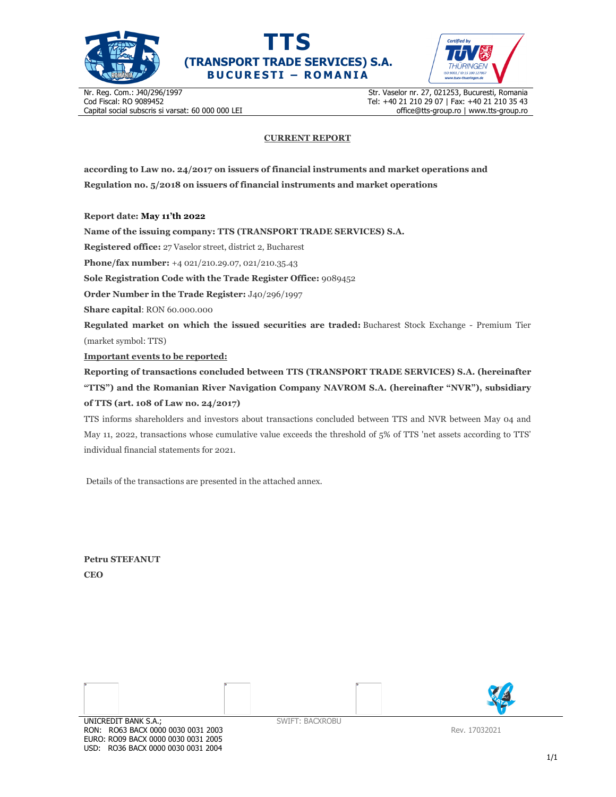





Nr. Reg. Com.: J40/296/1997 Cod Fiscal: RO 9089452 Capital social subscris si varsat: 60 000 000 LEI Str. Vaselor nr. 27, 021253, Bucuresti, Romania Tel: +40 21 210 29 07 | Fax: +40 21 210 35 43 office@tts-group.ro | www.tts-group.ro

## **CURRENT REPORT**

**according to Law no. 24/2017 on issuers of financial instruments and market operations and Regulation no. 5/2018 on issuers of financial instruments and market operations** 

**Report date: May 11'th 2022**

**Name of the issuing company: TTS (TRANSPORT TRADE SERVICES) S.A.**

**Registered office:** 27 Vaselor street, district 2, Bucharest

**Phone/fax number:** +4 021/210.29.07, 021/210.35.43

**Sole Registration Code with the Trade Register Office:** 9089452

**Order Number in the Trade Register:** J40/296/1997

**Share capital**: RON 60.000.000

**Regulated market on which the issued securities are traded:** Bucharest Stock Exchange - Premium Tier (market symbol: TTS)

**Important events to be reported:**

**Reporting of transactions concluded between TTS (TRANSPORT TRADE SERVICES) S.A. (hereinafter "TTS") and the Romanian River Navigation Company NAVROM S.A. (hereinafter "NVR"), subsidiary of TTS (art. 108 of Law no. 24/2017)** 

TTS informs shareholders and investors about transactions concluded between TTS and NVR between May 04 and May 11, 2022, transactions whose cumulative value exceeds the threshold of 5% of TTS 'net assets according to TTS' individual financial statements for 2021.

Details of the transactions are presented in the attached annex.

**Petru STEFANUT CEO** 

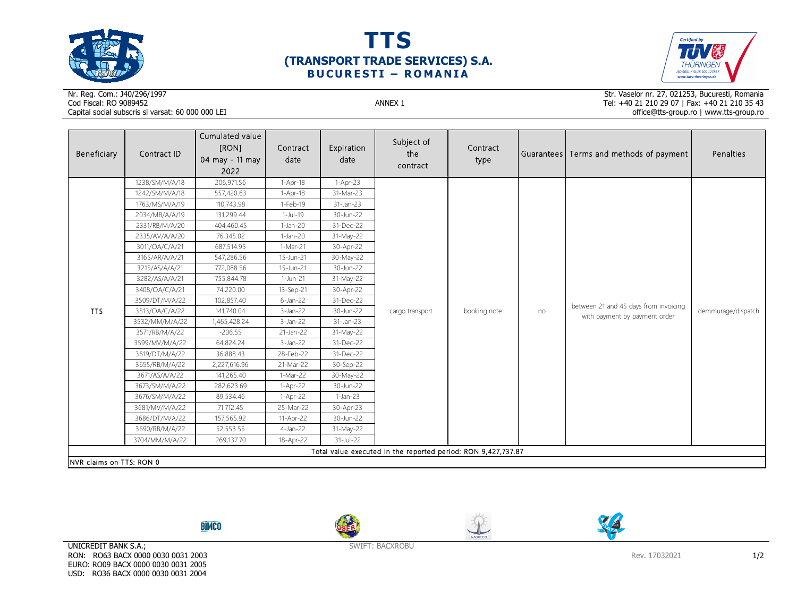





## Nr. Reg. Com.: J40/296/1997Cod Fiscal: RO 9089452 ANNEX 1 Capital social subscris si varsat: 60 000 000 LEI

Str. Vaselor nr. 27, 021253, Bucuresti, Romania Tel: +40 21 210 29 07 | Fax: +40 21 210 35 43 office@tts-group.ro | www.tts-group.ro

| Beneficiary                                                   | Contract ID    | Cumulated value<br>[RON]<br>04 may - 11 may<br>2022 | Contract<br>date | Expiration<br>date | Subject of<br>the<br>contract | Contract<br>type |    | Guarantees Terms and methods of payment                                | Penalties          |  |
|---------------------------------------------------------------|----------------|-----------------------------------------------------|------------------|--------------------|-------------------------------|------------------|----|------------------------------------------------------------------------|--------------------|--|
|                                                               | 1238/SM/M/A/18 | 206,971.56                                          | $1-Apr-18$       | 1-Apr-23           |                               |                  | no | between 21 and 45 days from invoicing<br>with payment by payment order | demmurage/dispatch |  |
|                                                               | 1242/SM/M/A/18 | 557,420.63                                          | $1-Apr-18$       | 31-Mar-23          |                               |                  |    |                                                                        |                    |  |
|                                                               | 1763/MS/M/A/19 | 110,743.98                                          | 1-Feb-19         | 31-Jan-23          |                               |                  |    |                                                                        |                    |  |
|                                                               | 2034/MB/A/A/19 | 131,299.44                                          | $1-Jul-19$       | 30-Jun-22          |                               |                  |    |                                                                        |                    |  |
|                                                               | 2331/RB/M/A/20 | 404,460.45                                          | $1-Jan-20$       | 31-Dec-22          |                               |                  |    |                                                                        |                    |  |
|                                                               | 2335/AV/A/A/20 | 76,345.02                                           | $1-Jan-20$       | 31-May-22          |                               |                  |    |                                                                        |                    |  |
|                                                               | 3011/OA/C/A/21 | 687,514.95                                          | 1-Mar-21         | 30-Apr-22          |                               |                  |    |                                                                        |                    |  |
|                                                               | 3165/AR/A/A/21 | 547,286.56                                          | 15-Jun-21        | 30-May-22          |                               |                  |    |                                                                        |                    |  |
|                                                               | 3215/AS/A/A/21 | 772,088.56                                          | 15-Jun-21        | 30-Jun-22          |                               |                  |    |                                                                        |                    |  |
|                                                               | 3282/AS/A/A/21 | 755,844.78                                          | 1-Jun-21         | 31-May-22          |                               |                  |    |                                                                        |                    |  |
|                                                               | 3408/OA/C/A/21 | 74,220.00                                           | 13-Sep-21        | 30-Apr-22          | cargo transport               | booking note     |    |                                                                        |                    |  |
|                                                               | 3509/DT/M/A/22 | 102,857.40                                          | $6$ -Jan-22      | 31-Dec-22          |                               |                  |    |                                                                        |                    |  |
| <b>TTS</b>                                                    | 3513/OA/C/A/22 | 141,740.04                                          | $3$ -Jan-22      | 30-Jun-22          |                               |                  |    |                                                                        |                    |  |
|                                                               | 3532/MM/M/A/22 | 1,465,428.24                                        | $3-Jan-22$       | 31-Jan-23          |                               |                  |    |                                                                        |                    |  |
|                                                               | 3571/RB/M/A/22 | $-206.55$                                           | 21-Jan-22        | 31-May-22          |                               |                  |    |                                                                        |                    |  |
|                                                               | 3599/MV/M/A/22 | 64,824.24                                           | $3-Jan-22$       | 31-Dec-22          |                               |                  |    |                                                                        |                    |  |
|                                                               | 3619/DT/M/A/22 | 36,888.43                                           | 28-Feb-22        | 31-Dec-22          |                               |                  |    |                                                                        |                    |  |
|                                                               | 3655/RB/M/A/22 | 2,227,616.96                                        | 21-Mar-22        | 30-Sep-22          |                               |                  |    |                                                                        |                    |  |
|                                                               | 3671/AS/A/A/22 | 141,265.40                                          | 1-Mar-22         | 30-May-22          |                               |                  |    |                                                                        |                    |  |
|                                                               | 3673/SM/M/A/22 | 282,623.69                                          | $1-Apr-22$       | 30-Jun-22          |                               |                  |    |                                                                        |                    |  |
|                                                               | 3676/SM/M/A/22 | 89,534.46                                           | 1-Apr-22         | $1-Jan-23$         |                               |                  |    |                                                                        |                    |  |
|                                                               | 3681/MV/M/A/22 | 71,712.45                                           | 25-Mar-22        | 30-Apr-23          |                               |                  |    |                                                                        |                    |  |
|                                                               | 3686/DT/M/A/22 | 157,565.92                                          | 11-Apr-22        | 30-Jun-22          |                               |                  |    |                                                                        |                    |  |
|                                                               | 3690/RB/M/A/22 | 52,553.55                                           | 4-Jan-22         | 31-May-22          |                               |                  |    |                                                                        |                    |  |
|                                                               | 3704/MM/M/A/22 | 269,137.70                                          | 18-Apr-22        | 31-Jul-22          |                               |                  |    |                                                                        |                    |  |
| Total value executed in the reported period: RON 9,427,737.87 |                |                                                     |                  |                    |                               |                  |    |                                                                        |                    |  |
| NVR claims on TTS: RON 0                                      |                |                                                     |                  |                    |                               |                  |    |                                                                        |                    |  |









UNICREDIT BANK S.A.; RON: RO63 BACX 0000 0030 0031 2003 EURO: RO09 BACX 0000 0030 0031 2005 USD: RO36 BACX 0000 0030 0031 2004

SWIFT: BACXROBU